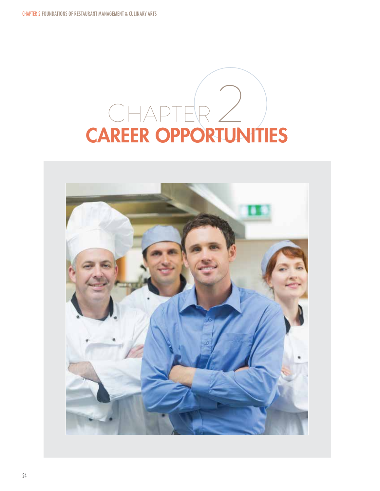# CHAPTER 2 CAREER OPPORTUNITIES

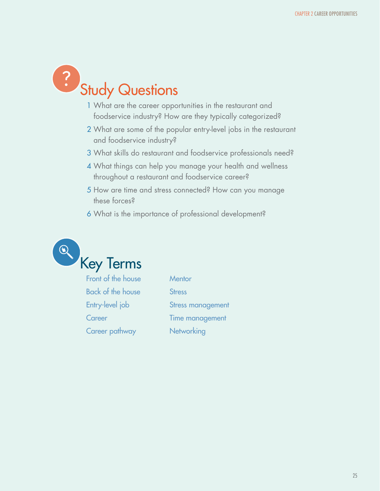

- 1 What are the career opportunities in the restaurant and foodservice industry? How are they typically categorized?
- 2 What are some of the popular entry-level jobs in the restaurant and foodservice industry?
- 3 What skills do restaurant and foodservice professionals need?
- 4 What things can help you manage your health and wellness throughout a restaurant and foodservice career?
- 5 How are time and stress connected? How can you manage these forces?
- 6 What is the importance of professional development?



Front of the house Back of the house Entry-level job **Career** Career pathway

**Mentor Stress** Stress management Time management **Networking**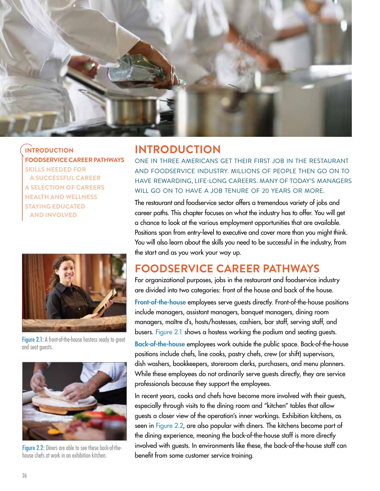

**INTRODUCTION FOODSERVICE CAREER PATHWAYS SKILLS NEEDED FOR A SUCCESSFUL CAREER A SELECTION OF CAREERS HEALTH AND WELLNESS STAYING EDUCATED AND INVOLVED** 



Figure 2.1: A front-of-the-house hostess ready to greet and seat guests.



Figure 2.2: Diners are able to see these back-of-thehouse chefs at work in an exhibition kitchen.

## **INTRODUCTION**

ONE IN THREE AMERICANS GET THEIR FIRST JOB IN THE RESTAURANT AND FOODSERVICE INDUSTRY. MILLIONS OF PEOPLE THEN GO ON TO HAVE REWARDING, LIFE-LONG CAREERS. MANY OF TODAY'S MANAGERS WILL GO ON TO HAVE A JOB TENURE OF 20 YEARS OR MORE.

The restaurant and foodservice sector offers a tremendous variety of jobs and career paths. This chapter focuses on what the industry has to offer. You will get a chance to look at the various employment opportunities that are available. Positions span from entry-level to executive and cover more than you might think. You will also learn about the skills you need to be successful in the industry, from the start and as you work your way up.

## **FOODSERVICE CAREER PATHWAYS**

For organizational purposes, jobs in the restaurant and foodservice industry are divided into two categories: front of the house and back of the house.

Front-of-the-house employees serve guests directly. Front-of-the-house positions include managers, assistant managers, banquet managers, dining room managers, maître d's, hosts/hostesses, cashiers, bar staff, serving staff, and busers. Figure 2.1 shows a hostess working the podium and seating guests.

Back-of-the-house employees work outside the public space. Back-of-the-house positions include chefs, line cooks, pastry chefs, crew (or shift) supervisors, dish washers, bookkeepers, storeroom clerks, purchasers, and menu planners. While these employees do not ordinarily serve guests directly, they are service professionals because they support the employees.

In recent years, cooks and chefs have become more involved with their guests, especially through visits to the dining room and "kitchen" tables that allow guests a closer view of the operation's inner workings. Exhibition kitchens, as seen in Figure 2.2, are also popular with diners. The kitchens become part of the dining experience, meaning the back-of-the-house staff is more directly involved with guests. In environments like these, the back-of-the-house staff can benefit from some customer service training.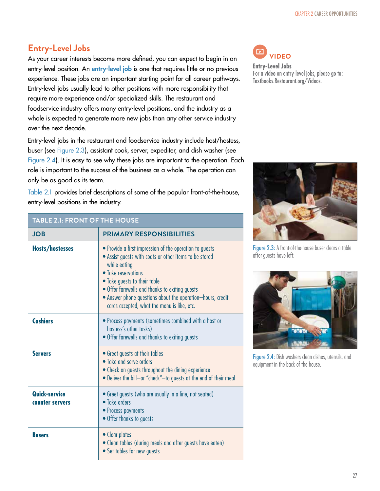#### **Entry-Level Jobs**

As your career interests become more defined, you can expect to begin in an entry-level position. An entry-level job is one that requires little or no previous experience. These jobs are an important starting point for all career pathways. Entry-level jobs usually lead to other positions with more responsibility that require more experience and/or specialized skills. The restaurant and foodservice industry offers many entry-level positions, and the industry as a whole is expected to generate more new jobs than any other service industry over the next decade.

Entry-level jobs in the restaurant and foodservice industry include host/hostess, buser (see Figure 2.3), assistant cook, server, expediter, and dish washer (see Figure 2.4). It is easy to see why these jobs are important to the operation. Each role is important to the success of the business as a whole. The operation can only be as good as its team.

Table 2.1 provides brief descriptions of some of the popular front-of-the-house, entry-level positions in the industry.

#### $\mathbb{Z}$ **VIDEOEntry-Level Jobs**  For a video on entry-level jobs, please go to: Textbooks.Restaurant.org/Videos.



Figure 2.3: A front-of-the-house buser clears a table after guests have left.



Figure 2.4: Dish washers clean dishes, utensils, and equipment in the back of the house.

#### **TABLE 2.1: FRONT OF THE HOUSE**

| <b>JOB</b>                       | <b>PRIMARY RESPONSIBILITIES</b>                                                                                                                                                                                                                                                                                                                         |
|----------------------------------|---------------------------------------------------------------------------------------------------------------------------------------------------------------------------------------------------------------------------------------------------------------------------------------------------------------------------------------------------------|
| Hosts/hostesses                  | • Provide a first impression of the operation to guests<br>• Assist guests with coats or other items to be stored<br>while eating<br>• Take reservations<br>• Take guests to their table<br>• Offer farewells and thanks to exiting guests<br>• Answer phone questions about the operation-hours, credit<br>cards accepted, what the menu is like, etc. |
| <b>Cashiers</b>                  | • Process payments (sometimes combined with a host or<br>hostess's other tasks)<br>• Offer farewells and thanks to exiting guests                                                                                                                                                                                                                       |
| <b>Servers</b>                   | • Greet guests at their tables<br>• Take and serve orders<br>• Check on guests throughout the dining experience<br>• Deliver the bill-or "check"-to guests at the end of their meal                                                                                                                                                                     |
| Quick-service<br>counter servers | • Greet guests (who are usually in a line, not seated)<br>• Take orders<br>• Process payments<br>• Offer thanks to guests                                                                                                                                                                                                                               |
| <b>Busers</b>                    | • Clear plates<br>. Clean tables (during meals and after guests have eaten)<br>• Set tables for new guests                                                                                                                                                                                                                                              |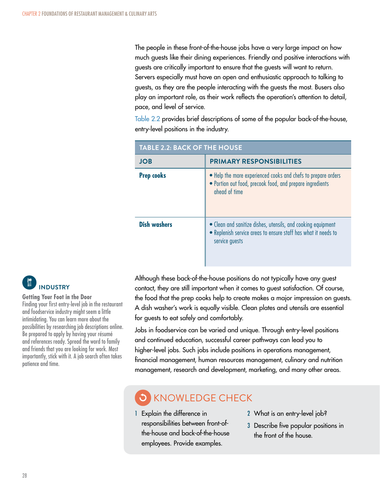The people in these front-of-the-house jobs have a very large impact on how much guests like their dining experiences. Friendly and positive interactions with guests are critically important to ensure that the guests will want to return. Servers especially must have an open and enthusiastic approach to talking to guests, as they are the people interacting with the guests the most. Busers also play an important role, as their work reflects the operation's attention to detail, pace, and level of service.

Table 2.2 provides brief descriptions of some of the popular back-of-the-house, entry-level positions in the industry.

| <b>TABLE 2.2: BACK OF THE HOUSE</b> |                                                                                                                                                  |  |
|-------------------------------------|--------------------------------------------------------------------------------------------------------------------------------------------------|--|
| <b>JOB</b>                          | <b>PRIMARY RESPONSIBILITIES</b>                                                                                                                  |  |
| <b>Prep cooks</b>                   | • Help the more experienced cooks and chefs to prepare orders<br>• Portion out food, precook food, and prepare ingredients<br>ghead of time      |  |
| <b>Dish washers</b>                 | • Clean and sanitize dishes, utensils, and cooking equipment<br>• Replenish service areas to ensure staff has what it needs to<br>service guests |  |

# **INDUSTRY**

#### **Getting Your Foot in the Door**

Finding your first entry-level job in the restaurant and foodservice industry might seem a little intimidating. You can learn more about the possibilities by researching job descriptions online. Be prepared to apply by having your résumé and references ready. Spread the word to family and friends that you are looking for work. Most importantly, stick with it. A job search often takes patience and time.

Although these back-of-the-house positions do not typically have any guest contact, they are still important when it comes to guest satisfaction. Of course, the food that the prep cooks help to create makes a major impression on guests. A dish washer's work is equally visible. Clean plates and utensils are essential for guests to eat safely and comfortably.

Jobs in foodservice can be varied and unique. Through entry-level positions and continued education, successful career pathways can lead you to higher-level jobs. Such jobs include positions in operations management, financial management, human resources management, culinary and nutrition management, research and development, marketing, and many other areas.

# KNOWLEDGE CHECK

- 1 Explain the difference in responsibilities between front-ofthe-house and back-of-the-house employees. Provide examples.
- 2 What is an entry-level job?
- 3 Describe five popular positions in the front of the house.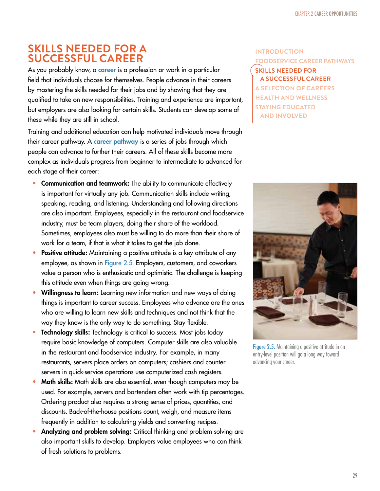## **SKILLS NEEDED FOR A SUCCESSFUL CAREER**

As you probably know, a career is a profession or work in a particular field that individuals choose for themselves. People advance in their careers by mastering the skills needed for their jobs and by showing that they are qualified to take on new responsibilities. Training and experience are important, but employers are also looking for certain skills. Students can develop some of these while they are still in school.

Training and additional education can help motivated individuals move through their career pathway. A career pathway is a series of jobs through which people can advance to further their careers. All of these skills become more complex as individuals progress from beginner to intermediate to advanced for each stage of their career:

- Communication and teamwork: The ability to communicate effectively is important for virtually any job. Communication skills include writing, speaking, reading, and listening. Understanding and following directions are also important. Employees, especially in the restaurant and foodservice industry, must be team players, doing their share of the workload. Sometimes, employees also must be willing to do more than their share of work for a team, if that is what it takes to get the job done.
- Positive attitude: Maintaining a positive attitude is a key attribute of any employee, as shown in Figure 2.5. Employers, customers, and coworkers value a person who is enthusiastic and optimistic. The challenge is keeping this attitude even when things are going wrong.
- Willingness to learn: Learning new information and new ways of doing things is important to career success. Employees who advance are the ones who are willing to learn new skills and techniques and not think that the way they know is the only way to do something. Stay flexible.
- Technology skills: Technology is critical to success. Most jobs today require basic knowledge of computers. Computer skills are also valuable in the restaurant and foodservice industry. For example, in many restaurants, servers place orders on computers; cashiers and counter servers in quick-service operations use computerized cash registers.
- Math skills: Math skills are also essential, even though computers may be used. For example, servers and bartenders often work with tip percentages. Ordering product also requires a strong sense of prices, quantities, and discounts. Back-of-the-house positions count, weigh, and measure items frequently in addition to calculating yields and converting recipes.
- Analyzing and problem solving: Critical thinking and problem solving are also important skills to develop. Employers value employees who can think of fresh solutions to problems.

#### **INTRODUCTION FOODSERVICE CAREER PATHWAYS SKILLS NEEDED FOR A SUCCESSFUL CAREER A SELECTION OF CAREERS HEALTH AND WELLNESS STAYING EDUCATED AND INVOLVED**



Figure 2.5: Maintaining a positive attitude in an entry-level position will go a long way toward advancing your career.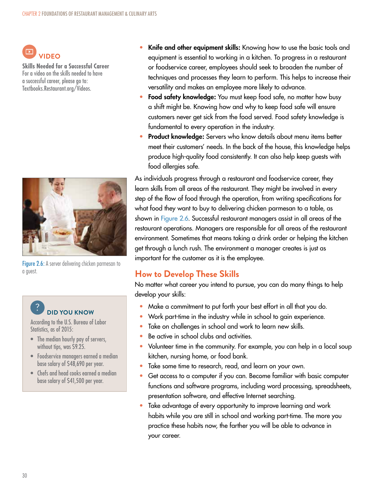

**Skills Needed for a Successful Career**  For a video on the skills needed to have a successful career, please go to: Textbooks.Restaurant.org/Videos.



Figure 2.6: A server delivering chicken parmesan to a guest.

# **POD YOU KNOW**

According to the U.S. Bureau of Labor Statistics, as of 2015:

- The median hourly pay of servers, without tips, was \$9.25.
- Foodservice managers earned a median base salary of \$48,690 per year.
- Chefs and head cooks earned a median base salary of \$41,500 per year.
- Knife and other equipment skills: Knowing how to use the basic tools and equipment is essential to working in a kitchen. To progress in a restaurant or foodservice career, employees should seek to broaden the number of techniques and processes they learn to perform. This helps to increase their versatility and makes an employee more likely to advance.
- Food safety knowledge: You must keep food safe, no matter how busy a shift might be. Knowing how and why to keep food safe will ensure customers never get sick from the food served. Food safety knowledge is fundamental to every operation in the industry.
- Product knowledge: Servers who know details about menu items better meet their customers' needs. In the back of the house, this knowledge helps produce high-quality food consistently. It can also help keep guests with food allergies safe.

As individuals progress through a restaurant and foodservice career, they learn skills from all areas of the restaurant. They might be involved in every step of the flow of food through the operation, from writing specifications for what food they want to buy to delivering chicken parmesan to a table, as shown in Figure 2.6. Successful restaurant managers assist in all areas of the restaurant operations. Managers are responsible for all areas of the restaurant environment. Sometimes that means taking a drink order or helping the kitchen get through a lunch rush. The environment a manager creates is just as important for the customer as it is the employee.

#### **How to Develop These Skills**

No matter what career you intend to pursue, you can do many things to help develop your skills:

- Make a commitment to put forth your best effort in all that you do.
- Work part-time in the industry while in school to gain experience.
- Take on challenges in school and work to learn new skills.
- Be active in school clubs and activities.
- Volunteer time in the community. For example, you can help in a local soup kitchen, nursing home, or food bank.
- Take some time to research, read, and learn on your own.
- Get access to a computer if you can. Become familiar with basic computer functions and software programs, including word processing, spreadsheets, presentation software, and effective Internet searching.
- Take advantage of every opportunity to improve learning and work habits while you are still in school and working part-time. The more you practice these habits now, the farther you will be able to advance in your career.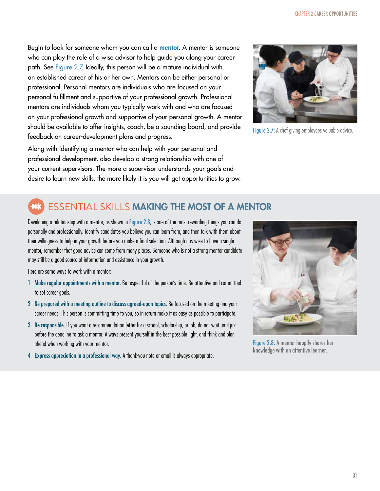Begin to look for someone whom you can call a mentor. A mentor is someone who can play the role of a wise advisor to help guide you along your career path. See Figure 2.7. Ideally, this person will be a mature individual with an established career of his or her own. Mentors can be either personal or professional. Personal mentors are individuals who are focused on your personal fulfillment and supportive of your professional growth. Professional mentors are individuals whom you typically work with and who are focused on your professional growth and supportive of your personal growth. A mentor should be available to offer insights, coach, be a sounding board, and provide feedback on career-development plans and progress.

Along with identifying a mentor who can help with your personal and professional development, also develop a strong relationship with one of your current supervisors. The more a supervisor understands your goals and desire to learn new skills, the more likely it is you will get opportunities to grow.



Figure 2.7: A chef giving employees valuable advice.

## ESSENTIAL SKILLS MAKING THE MOST OF A MENTOR

Developing a relationship with a mentor, as shown in Figure 2.8, is one of the most rewarding things you can do personally and professionally. Identify candidates you believe you can learn from, and then talk with them about their willingness to help in your growth before you make a final selection. Although it is wise to have a single mentor, remember that good advice can come from many places. Someone who is not a strong mentor candidate may still be a good source of information and assistance in your growth.

Here are some ways to work with a mentor:

- 1 Make regular appointments with a mentor. Be respectful of the person's time. Be attentive and committed to set career goals.
- 2 Be prepared with a meeting outline to discuss agreed-upon topics. Be focused on the meeting and your career needs. This person is committing time to you, so in return make it as easy as possible to participate.
- 3 Be responsible. If you want a recommendation letter for a school, scholarship, or job, do not wait until just before the deadline to ask a mentor. Always present yourself in the best possible light, and think and plan ahead when working with your mentor.
- 4 Express appreciation in a professional way. A thank-you note or email is always appropriate.



Figure 2.8: A mentor happily shares her knowledge with an attentive learner.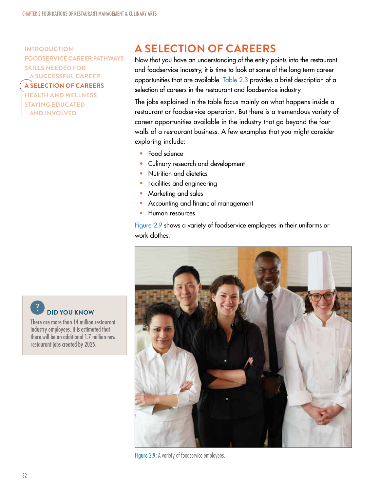**INTRODUCTION FOODSERVICE CAREER PATHWAYS SKILLS NEEDED FOR A SUCCESSFUL CAREER A SELECTION OF CAREERS HEALTH AND WELLNESS STAYING EDUCATED** 

**AND INVOLVED** 

# **A SELECTION OF CAREERS**

Now that you have an understanding of the entry points into the restaurant and foodservice industry, it is time to look at some of the long-term career opportunities that are available. Table 2.3 provides a brief description of a selection of careers in the restaurant and foodservice industry.

The jobs explained in the table focus mainly on what happens inside a restaurant or foodservice operation. But there is a tremendous variety of career opportunities available in the industry that go beyond the four walls of a restaurant business. A few examples that you might consider exploring include:

- Food science
- Culinary research and development
- Nutrition and dietetics
- Facilities and engineering
- Marketing and sales
- Accounting and financial management
- Human resources

Figure 2.9 shows a variety of foodservice employees in their uniforms or work clothes.



Figure 2.9: A variety of foodservice employees.

**PID YOU KNOW** 

There are more than 14 million restaurant industry employees. It is estimated that there will be an additional 1.7 million new restaurant jobs created by 2025.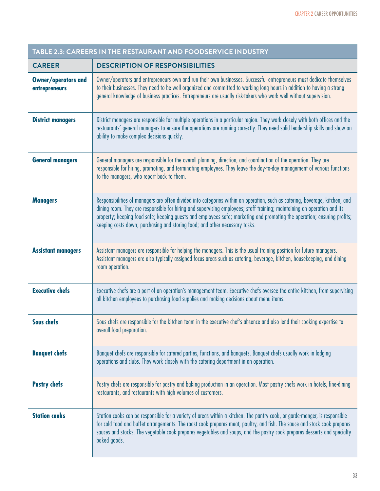| TABLE 2.3: CAREERS IN THE RESTAURANT AND FOODSERVICE INDUSTRY |                                                                                                                                                                                                                                                                                                                                                                                                                                                                     |  |
|---------------------------------------------------------------|---------------------------------------------------------------------------------------------------------------------------------------------------------------------------------------------------------------------------------------------------------------------------------------------------------------------------------------------------------------------------------------------------------------------------------------------------------------------|--|
| <b>CAREER</b>                                                 | <b>DESCRIPTION OF RESPONSIBILITIES</b>                                                                                                                                                                                                                                                                                                                                                                                                                              |  |
| <b>Owner/operators and</b><br>entrepreneurs                   | Owner/operators and entrepreneurs own and run their own businesses. Successful entrepreneurs must dedicate themselves<br>to their businesses. They need to be well organized and committed to working long hours in addition to having a strong<br>general knowledge of business practices. Entrepreneurs are usually risk-takers who work well without supervision.                                                                                                |  |
| <b>District managers</b>                                      | District managers are responsible for multiple operations in a particular region. They work closely with both offices and the<br>restaurants' general managers to ensure the operations are running correctly. They need solid leadership skills and show an<br>ability to make complex decisions quickly.                                                                                                                                                          |  |
| <b>General managers</b>                                       | General managers are responsible for the overall planning, direction, and coordination of the operation. They are<br>responsible for hiring, promoting, and terminating employees. They leave the day-to-day management of various functions<br>to the managers, who report back to them.                                                                                                                                                                           |  |
| <b>Managers</b>                                               | Responsibilities of managers are often divided into categories within an operation, such as catering, beverage, kitchen, and<br>dining room. They are responsible for hiring and supervising employees; staff training; maintaining an operation and its<br>property; keeping food safe; keeping guests and employees safe; marketing and promoting the operation; ensuring profits;<br>keeping costs down; purchasing and storing food; and other necessary tasks. |  |
| <b>Assistant managers</b>                                     | Assistant managers are responsible for helping the managers. This is the usual training position for future managers.<br>Assistant managers are also typically assigned focus areas such as catering, beverage, kitchen, housekeeping, and dining<br>room operation.                                                                                                                                                                                                |  |
| <b>Executive chefs</b>                                        | Executive chefs are a part of an operation's management team. Executive chefs oversee the entire kitchen, from supervising<br>all kitchen employees to purchasing food supplies and making decisions about menu items.                                                                                                                                                                                                                                              |  |
| <b>Sous chefs</b>                                             | Sous chefs are responsible for the kitchen team in the executive chef's absence and also lend their cooking expertise to<br>overall food preparation.                                                                                                                                                                                                                                                                                                               |  |
| <b>Banquet chefs</b>                                          | Banquet chefs are responsible for catered parties, functions, and banquets. Banquet chefs usually work in lodging<br>operations and clubs. They work closely with the catering department in an operation.                                                                                                                                                                                                                                                          |  |
| <b>Pastry chefs</b>                                           | Pastry chefs are responsible for pastry and baking production in an operation. Most pastry chefs work in hotels, fine-dining<br>restaurants, and restaurants with high volumes of customers.                                                                                                                                                                                                                                                                        |  |
| <b>Station cooks</b>                                          | Station cooks can be responsible for a variety of areas within a kitchen. The pantry cook, or garde-manger, is responsible<br>for cold food and buffet arrangements. The roast cook prepares meat, poultry, and fish. The sauce and stock cook prepares<br>sauces and stocks. The vegetable cook prepares vegetables and soups, and the pastry cook prepares desserts and specialty<br>baked goods.                                                                 |  |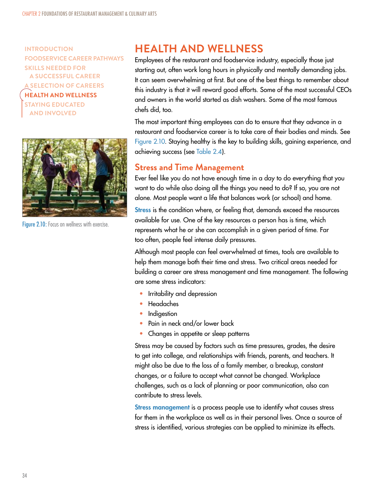**INTRODUCTION FOODSERVICE CAREER PATHWAYS SKILLS NEEDED FOR A SUCCESSFUL CAREER A SELECTION OF CAREERS HEALTH AND WELLNESS STAYING EDUCATED AND INVOLVED** 



Figure 2.10: Focus on wellness with exercise.

# **HEALTH AND WELLNESS**

Employees of the restaurant and foodservice industry, especially those just starting out, often work long hours in physically and mentally demanding jobs. It can seem overwhelming at first. But one of the best things to remember about this industry is that it will reward good efforts. Some of the most successful CEOs and owners in the world started as dish washers. Some of the most famous chefs did, too.

The most important thing employees can do to ensure that they advance in a restaurant and foodservice career is to take care of their bodies and minds. See Figure 2.10. Staying healthy is the key to building skills, gaining experience, and achieving success (see Table 2.4).

#### **Stress and Time Management**

Ever feel like you do not have enough time in a day to do everything that you want to do while also doing all the things you need to do? If so, you are not alone. Most people want a life that balances work (or school) and home.

**Stress** is the condition where, or feeling that, demands exceed the resources available for use. One of the key resources a person has is time, which represents what he or she can accomplish in a given period of time. Far too often, people feel intense daily pressures.

Although most people can feel overwhelmed at times, tools are available to help them manage both their time and stress. Two critical areas needed for building a career are stress management and time management. The following are some stress indicators:

- Irritability and depression
- Headaches
- **Indigestion**
- Pain in neck and/or lower back
- Changes in appetite or sleep patterns

Stress may be caused by factors such as time pressures, grades, the desire to get into college, and relationships with friends, parents, and teachers. It might also be due to the loss of a family member, a breakup, constant changes, or a failure to accept what cannot be changed. Workplace challenges, such as a lack of planning or poor communication, also can contribute to stress levels.

Stress management is a process people use to identify what causes stress for them in the workplace as well as in their personal lives. Once a source of stress is identified, various strategies can be applied to minimize its effects.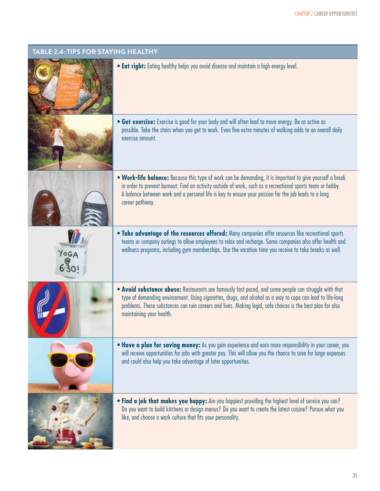| TABLE 2.4: TIPS FOR STAYING HEALTHY |                                                                                                                                                                                                                                                                                                                                                               |
|-------------------------------------|---------------------------------------------------------------------------------------------------------------------------------------------------------------------------------------------------------------------------------------------------------------------------------------------------------------------------------------------------------------|
|                                     | . Eat right: Eating healthy helps you avoid disease and maintain a high energy level.                                                                                                                                                                                                                                                                         |
|                                     | • Get exercise: Exercise is good for your body and will often lead to more energy. Be as active as<br>possible. Take the stairs when you get to work. Even five extra minutes of walking adds to an overall daily<br>exercise amount.                                                                                                                         |
|                                     | • Work-life balance: Because this type of work can be demanding, it is important to give yourself a break<br>in order to prevent burnout. Find an activity outside of work, such as a recreational sports team or hobby.<br>A balance between work and a personal life is key to ensure your passion for the job leads to a long<br>career pathway.           |
| Yoga                                | . Take advantage of the resources offered: Many companies offer resources like recreational sports<br>teams or company outings to allow employees to relax and recharge. Some companies also offer health and<br>wellness programs, including gym memberships. Use the vacation time you receive to take breaks as well.                                      |
|                                     | • Avoid substance abuse: Restaurants are famously fast paced, and some people can struggle with that<br>type of demanding environment. Using cigarettes, drugs, and alcohol as a way to cope can lead to life-long<br>problems. These substances can ruin careers and lives. Making legal, safe choices is the best plan for also<br>maintaining your health. |
|                                     | • Have a plan for saving money: As you gain experience and earn more responsibility in your career, you<br>will receive opportunities for jobs with greater pay. This will allow you the chance to save for large expenses<br>and could also help you take advantage of later opportunities.                                                                  |
|                                     | . Find a job that makes you happy: Are you happiest providing the highest level of service you can?<br>Do you want to build kitchens or design menus? Do you want to create the latest cuisine? Pursue what you<br>like, and choose a work culture that fits your personality.                                                                                |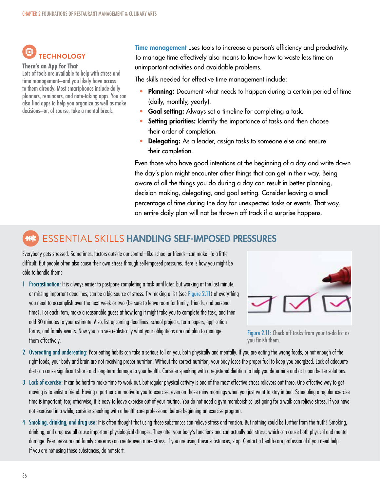# **TECHNOLOGY**

#### **There's an App for That**

Lots of tools are available to help with stress and time management–and you likely have access to them already. Most smartphones include daily planners, reminders, and note-taking apps. You can also find apps to help you organize as well as make decisions–or, of course, take a mental break.

Time management uses tools to increase a person's efficiency and productivity. To manage time effectively also means to know how to waste less time on unimportant activities and avoidable problems.

The skills needed for effective time management include:

- Planning: Document what needs to happen during a certain period of time (daily, monthly, yearly).
- Goal setting: Always set a timeline for completing a task.
- Setting priorities: Identify the importance of tasks and then choose their order of completion.
- Delegating: As a leader, assign tasks to someone else and ensure their completion.

Even those who have good intentions at the beginning of a day and write down the day's plan might encounter other things that can get in their way. Being aware of all the things you do during a day can result in better planning, decision making, delegating, and goal setting. Consider leaving a small percentage of time during the day for unexpected tasks or events. That way, an entire daily plan will not be thrown off track if a surprise happens.

#### ESSENTIAL SKILLS HANDLING SELF-IMPOSED PRESSURES **With**

Everybody gets stressed. Sometimes, factors outside our control–like school or friends–can make life a little difficult. But people often also cause their own stress through self-imposed pressures. Here is how you might be able to handle them:

1 Procrastination: It is always easier to postpone completing a task until later, but working at the last minute, or missing important deadlines, can be a big source of stress. Try making a list (see Figure 2.11) of everything you need to accomplish over the next week or two (be sure to leave room for family, friends, and personal time). For each item, make a reasonable guess at how long it might take you to complete the task, and then add 30 minutes to your estimate. Also, list upcoming deadlines: school projects, term papers, application forms, and family events. Now you can see realistically what your obligations are and plan to manage them effectively.



Figure 2.11: Check off tasks from your to-do list as you finish them.

- 2 Overeating and undereating: Poor eating habits can take a serious toll on you, both physically and mentally. If you are eating the wrong foods, or not enough of the right foods, your body and brain are not receiving proper nutrition. Without the correct nutrition, your body loses the proper fuel to keep you energized. Lack of adequate diet can cause significant short- and long-term damage to your health. Consider speaking with a registered dietitian to help you determine and act upon better solutions.
- 3 Lack of exercise: It can be hard to make time to work out, but regular physical activity is one of the most effective stress relievers out there. One effective way to get moving is to enlist a friend. Having a partner can motivate you to exercise, even on those rainy mornings when you just want to stay in bed. Scheduling a regular exercise time is important, too; otherwise, it is easy to leave exercise out of your routine. You do not need a gym membership; just going for a walk can relieve stress. If you have not exercised in a while, consider speaking with a health-care professional before beginning an exercise program.
- 4 Smoking, drinking, and drug use: It is often thought that using these substances can relieve stress and tension. But nothing could be further from the truth! Smoking, drinking, and drug use all cause important physiological changes. They alter your body's functions and can actually add stress, which can cause both physical and mental damage. Peer pressure and family concerns can create even more stress. If you are using these substances, stop. Contact a health-care professional if you need help. If you are not using these substances, do not start.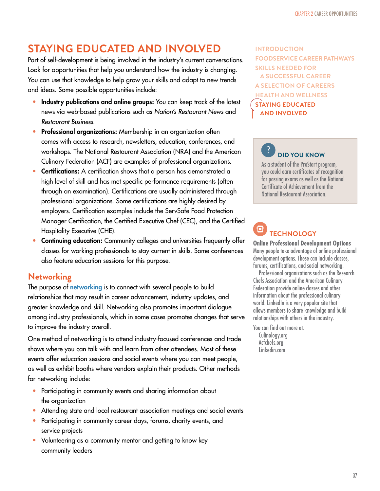# **STAYING EDUCATED AND INVOLVED**

Part of self-development is being involved in the industry's current conversations. Look for opportunities that help you understand how the industry is changing. You can use that knowledge to help grow your skills and adapt to new trends and ideas. Some possible opportunities include:

- Industry publications and online groups: You can keep track of the latest news via web-based publications such as Nation's Restaurant News and Restaurant Business.
- Professional organizations: Membership in an organization often comes with access to research, newsletters, education, conferences, and workshops. The National Restaurant Association (NRA) and the American Culinary Federation (ACF) are examples of professional organizations.
- Certifications: A certification shows that a person has demonstrated a high level of skill and has met specific performance requirements (often through an examination). Certifications are usually administered through professional organizations. Some certifications are highly desired by employers. Certification examples include the ServSafe Food Protection Manager Certification, the Certified Executive Chef (CEC), and the Certified Hospitality Executive (CHE).
- Continuing education: Community colleges and universities frequently offer classes for working professionals to stay current in skills. Some conferences also feature education sessions for this purpose.

#### **Networking**

The purpose of networking is to connect with several people to build relationships that may result in career advancement, industry updates, and greater knowledge and skill. Networking also promotes important dialogue among industry professionals, which in some cases promotes changes that serve to improve the industry overall.

One method of networking is to attend industry-focused conferences and trade shows where you can talk with and learn from other attendees. Most of these events offer education sessions and social events where you can meet people, as well as exhibit booths where vendors explain their products. Other methods for networking include:

- Participating in community events and sharing information about the organization
- Attending state and local restaurant association meetings and social events
- Participating in community career days, forums, charity events, and service projects
- Volunteering as a community mentor and getting to know key community leaders

**INTRODUCTION FOODSERVICE CAREER PATHWAYS SKILLS NEEDED FOR A SUCCESSFUL CAREER A SELECTION OF CAREERS HEALTH AND WELLNESS STAYING EDUCATED AND INVOLVED** 

# **POID YOU KNOW**

As a student of the ProStart program, you could earn certificates of recognition for passing exams as well as the National Certificate of Achievement from the National Restaurant Association.

#### Ö **TECHNOLOGY**

**Online Professional Development Options** Many people take advantage of online professional development options. These can include classes, forums, certifications, and social networking.

Professional organizations such as the Research Chefs Association and the American Culinary Federation provide online classes and other information about the professional culinary world. LinkedIn is a very popular site that allows members to share knowledge and build relationships with others in the industry.

You can find out more at:

Culinology.org Acfchefs.org Linkedin.com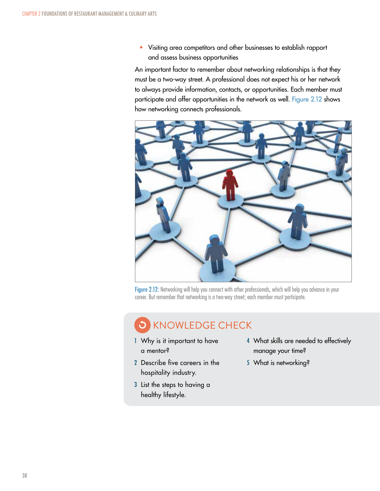• Visiting area competitors and other businesses to establish rapport and assess business opportunities

An important factor to remember about networking relationships is that they must be a two-way street. A professional does not expect his or her network to always provide information, contacts, or opportunities. Each member must participate and offer opportunities in the network as well. Figure 2.12 shows how networking connects professionals.



Figure 2.12: Networking will help you connect with other professionals, which will help you advance in your career. But remember that networking is a two-way street; each member must participate.

# KNOWLEDGE CHECK

- 1 Why is it important to have a mentor?
- 2 Describe five careers in the hospitality industry.
- 3 List the steps to having a healthy lifestyle.
- 4 What skills are needed to effectively manage your time?
- 5 What is networking?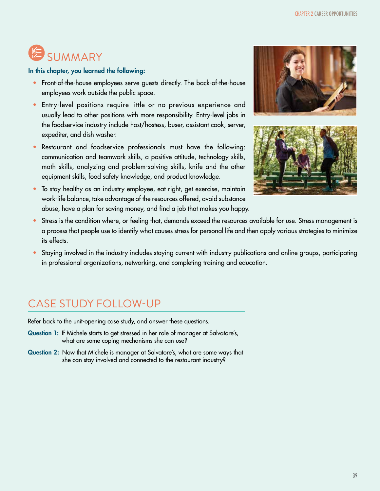# **SUMMARY**

In this chapter, you learned the following:

- Front-of-the-house employees serve guests directly. The back-of-the-house employees work outside the public space.
- Entry-level positions require little or no previous experience and usually lead to other positions with more responsibility. Entry-level jobs in the foodservice industry include host/hostess, buser, assistant cook, server, expediter, and dish washer.
- Restaurant and foodservice professionals must have the following: communication and teamwork skills, a positive attitude, technology skills, math skills, analyzing and problem-solving skills, knife and the other equipment skills, food safety knowledge, and product knowledge.
- To stay healthy as an industry employee, eat right, get exercise, maintain work-life balance, take advantage of the resources offered, avoid substance abuse, have a plan for saving money, and find a job that makes you happy.





- Stress is the condition where, or feeling that, demands exceed the resources available for use. Stress management is a process that people use to identify what causes stress for personal life and then apply various strategies to minimize its effects.
- Staying involved in the industry includes staying current with industry publications and online groups, participating in professional organizations, networking, and completing training and education.

# CASE STUDY FOLLOW-UP

Refer back to the unit-opening case study, and answer these questions.

- Question 1: If Michele starts to get stressed in her role of manager at Salvatore's, what are some coping mechanisms she can use?
- Question 2: Now that Michele is manager at Salvatore's, what are some ways that she can stay involved and connected to the restaurant industry?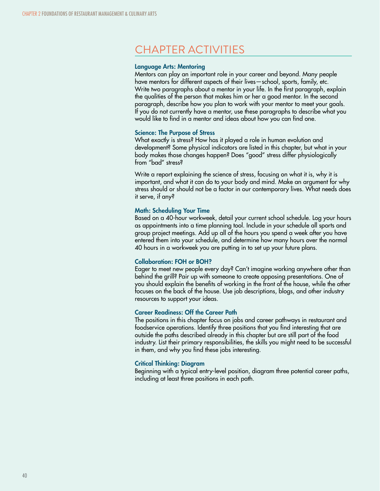# CHAPTER ACTIVITIES

#### Language Arts: Mentoring

Mentors can play an important role in your career and beyond. Many people have mentors for different aspects of their lives—school, sports, family, etc. Write two paragraphs about a mentor in your life. In the first paragraph, explain the qualities of the person that makes him or her a good mentor. In the second paragraph, describe how you plan to work with your mentor to meet your goals. If you do not currently have a mentor, use these paragraphs to describe what you would like to find in a mentor and ideas about how you can find one.

#### Science: The Purpose of Stress

What exactly is stress? How has it played a role in human evolution and development? Some physical indicators are listed in this chapter, but what in your body makes those changes happen? Does "good" stress differ physiologically from "bad" stress?

Write a report explaining the science of stress, focusing on what it is, why it is important, and what it can do to your body and mind. Make an argument for why stress should or should not be a factor in our contemporary lives. What needs does it serve, if any?

#### Math: Scheduling Your Time

Based on a 40-hour workweek, detail your current school schedule. Log your hours as appointments into a time planning tool. Include in your schedule all sports and group project meetings. Add up all of the hours you spend a week after you have entered them into your schedule, and determine how many hours over the normal 40 hours in a workweek you are putting in to set up your future plans.

#### Collaboration: FOH or BOH?

Eager to meet new people every day? Can't imagine working anywhere other than behind the grill? Pair up with someone to create opposing presentations. One of you should explain the benefits of working in the front of the house, while the other focuses on the back of the house. Use job descriptions, blogs, and other industry resources to support your ideas.

#### Career Readiness: Off the Career Path

The positions in this chapter focus on jobs and career pathways in restaurant and foodservice operations. Identify three positions that you find interesting that are outside the paths described already in this chapter but are still part of the food industry. List their primary responsibilities, the skills you might need to be successful in them, and why you find these jobs interesting.

#### Critical Thinking: Diagram

Beginning with a typical entry-level position, diagram three potential career paths, including at least three positions in each path.